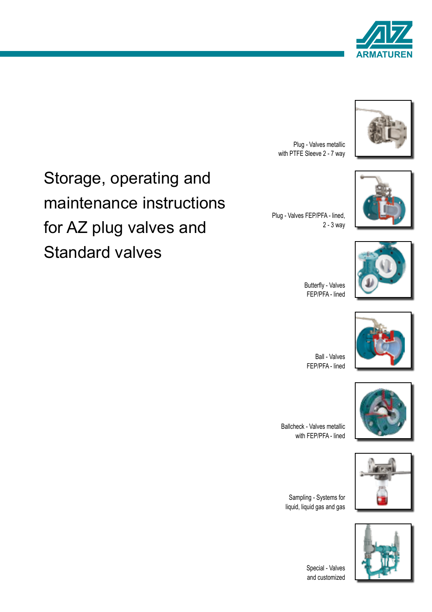





Plug - Valves FEP/PFA - lined,

Plug - Valves metallic with PTFE Sleeve 2 - 7 way



Butterfly - Valves FEP/PFA - lined

2 - 3 way



Ball - Valves FEP/PFA - lined



Ballcheck - Valves metallic with FEP/PFA - lined

Sampling - Systems for liquid, liquid gas and gas



1

Special - Valves and customized

# Storage, operating and maintenance instructions for AZ plug valves and Standard valves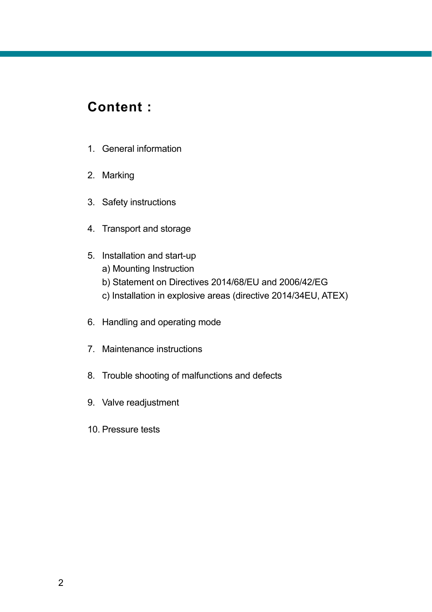### **Content :**

- 1. General information
- 2. Marking
- 3. Safety instructions
- 4. Transport and storage
- 5. Installation and start-up
	- a) Mounting Instruction
	- b) Statement on Directives 2014/68/EU and 2006/42/EG
	- c) Installation in explosive areas (directive 2014/34EU, ATEX)
- 6. Handling and operating mode
- 7. Maintenance instructions
- 8. Trouble shooting of malfunctions and defects
- 9. Valve readjustment
- 10. Pressure tests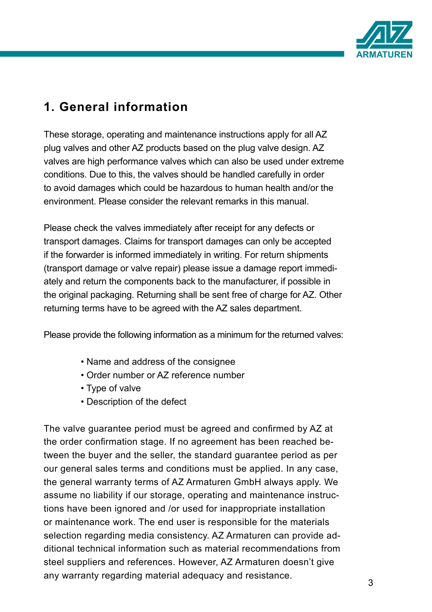

# **1. General information**

These storage, operating and maintenance instructions apply for all AZ plug valves and other AZ products based on the plug valve design. AZ valves are high performance valves which can also be used under extreme conditions. Due to this, the valves should be handled carefully in order to avoid damages which could be hazardous to human health and/or the environment. Please consider the relevant remarks in this manual.

Please check the valves immediately after receipt for any defects or transport damages. Claims for transport damages can only be accepted if the forwarder is informed immediately in writing. For return shipments (transport damage or valve repair) please issue a damage report immediately and return the components back to the manufacturer, if possible in the original packaging. Returning shall be sent free of charge for AZ. Other returning terms have to be agreed with the AZ sales department.

Please provide the following information as a minimum for the returned valves:

- Name and address of the consignee
- Order number or AZ reference number
- Type of valve
- Description of the defect

The valve guarantee period must be agreed and confirmed by AZ at the order confirmation stage. If no agreement has been reached between the buyer and the seller, the standard guarantee period as per our general sales terms and conditions must be applied. In any case, the general warranty terms of AZ Armaturen GmbH always apply. We assume no liability if our storage, operating and maintenance instructions have been ignored and /or used for inappropriate installation or maintenance work. The end user is responsible for the materials selection regarding media consistency. AZ Armaturen can provide additional technical information such as material recommendations from steel suppliers and references. However, AZ Armaturen doesn't give any warranty regarding material adequacy and resistance.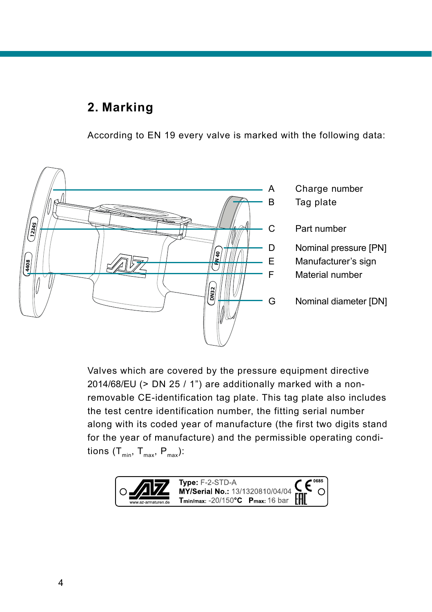### **2. Marking**

According to EN 19 every valve is marked with the following data:



Valves which are covered by the pressure equipment directive 2014/68/EU (> DN 25 / 1") are additionally marked with a nonremovable CE-identification tag plate. This tag plate also includes the test centre identification number, the fitting serial number along with its coded year of manufacture (the first two digits stand for the year of manufacture) and the permissible operating conditions  $(T_{min}, T_{max}, P_{max})$ :

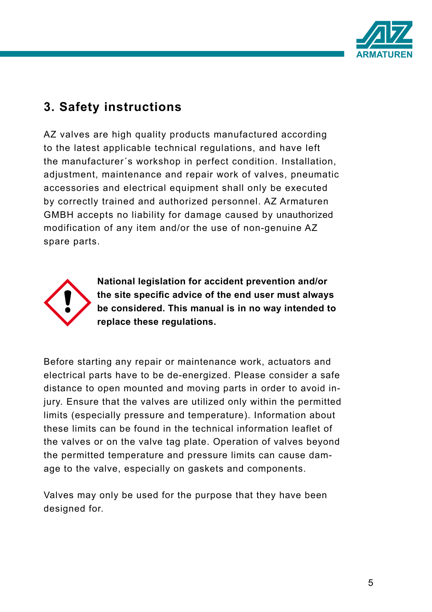

### **3. Safety instructions**

AZ valves are high quality products manufactured according to the latest applicable technical regulations, and have left the manufacturer´s workshop in perfect condition. Installation, adjustment, maintenance and repair work of valves, pneumatic accessories and electrical equipment shall only be executed by correctly trained and authorized personnel. AZ Armaturen GMBH accepts no liability for damage caused by unauthorized modification of any item and/or the use of non-genuine AZ spare parts.



**National legislation for accident prevention and/or the site specific advice of the end user must always be considered. This manual is in no way intended to replace these regulations.**

Before starting any repair or maintenance work, actuators and electrical parts have to be de-energized. Please consider a safe distance to open mounted and moving parts in order to avoid injury. Ensure that the valves are utilized only within the permitted limits (especially pressure and temperature). Information about these limits can be found in the technical information leaflet of the valves or on the valve tag plate. Operation of valves beyond the permitted temperature and pressure limits can cause damage to the valve, especially on gaskets and components.

Valves may only be used for the purpose that they have been designed for.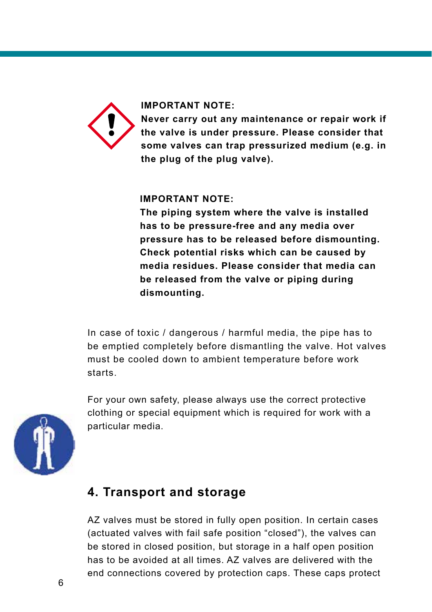

#### **IMPORTANT NOTE:**

**Never carry out any maintenance or repair work if the valve is under pressure. Please consider that some valves can trap pressurized medium (e.g. in the plug of the plug valve).** 

#### **IMPORTANT NOTE:**

**The piping system where the valve is installed has to be pressure-free and any media over pressure has to be released before dismounting. Check potential risks which can be caused by media residues. Please consider that media can be released from the valve or piping during dismounting.**

In case of toxic / dangerous / harmful media, the pipe has to be emptied completely before dismantling the valve. Hot valves must be cooled down to ambient temperature before work starts.



For your own safety, please always use the correct protective clothing or special equipment which is required for work with a particular media.

### **4. Transport and storage**

AZ valves must be stored in fully open position. In certain cases (actuated valves with fail safe position "closed"), the valves can be stored in closed position, but storage in a half open position has to be avoided at all times. AZ valves are delivered with the end connections covered by protection caps. These caps protect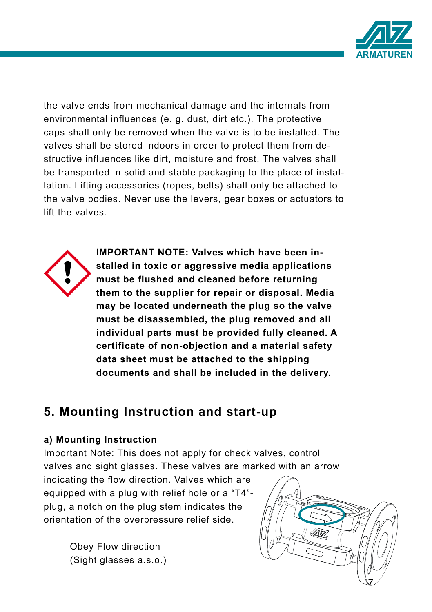

the valve ends from mechanical damage and the internals from environmental influences (e. g. dust, dirt etc.). The protective caps shall only be removed when the valve is to be installed. The valves shall be stored indoors in order to protect them from destructive influences like dirt, moisture and frost. The valves shall be transported in solid and stable packaging to the place of installation. Lifting accessories (ropes, belts) shall only be attached to the valve bodies. Never use the levers, gear boxes or actuators to lift the valves.



**IMPORTANT NOTE: Valves which have been installed in toxic or aggressive media applications must be flushed and cleaned before returning them to the supplier for repair or disposal. Media may be located underneath the plug so the valve must be disassembled, the plug removed and all individual parts must be provided fully cleaned. A certificate of non-objection and a material safety data sheet must be attached to the shipping documents and shall be included in the delivery.**

### **5. Mounting Instruction and start-up**

#### **a) Mounting Instruction**

Important Note: This does not apply for check valves, control valves and sight glasses. These valves are marked with an arrow

indicating the flow direction. Valves which are equipped with a plug with relief hole or a "T4" plug, a notch on the plug stem indicates the orientation of the overpressure relief side.

> Obey Flow direction (Sight glasses a.s.o.)

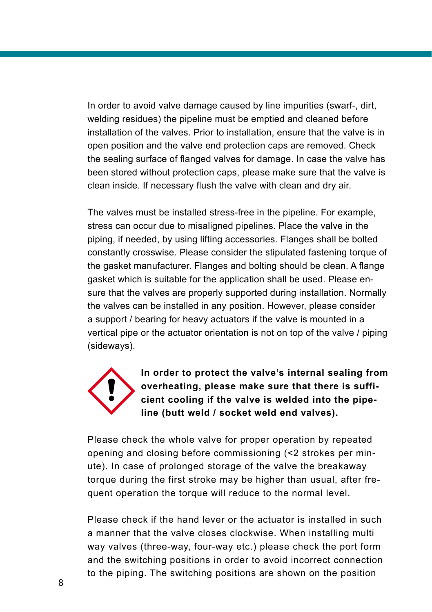In order to avoid valve damage caused by line impurities (swarf-, dirt, welding residues) the pipeline must be emptied and cleaned before installation of the valves. Prior to installation, ensure that the valve is in open position and the valve end protection caps are removed. Check the sealing surface of flanged valves for damage. In case the valve has been stored without protection caps, please make sure that the valve is clean inside. If necessary flush the valve with clean and dry air.

The valves must be installed stress-free in the pipeline. For example, stress can occur due to misaligned pipelines. Place the valve in the piping, if needed, by using lifting accessories. Flanges shall be bolted constantly crosswise. Please consider the stipulated fastening torque of the gasket manufacturer. Flanges and bolting should be clean. A flange gasket which is suitable for the application shall be used. Please ensure that the valves are properly supported during installation. Normally the valves can be installed in any position. However, please consider a support / bearing for heavy actuators if the valve is mounted in a vertical pipe or the actuator orientation is not on top of the valve / piping (sideways).



**In order to protect the valve's internal sealing from overheating, please make sure that there is sufficient cooling if the valve is welded into the pipeline (butt weld / socket weld end valves).** 

Please check the whole valve for proper operation by repeated opening and closing before commissioning (<2 strokes per minute). In case of prolonged storage of the valve the breakaway torque during the first stroke may be higher than usual, after frequent operation the torque will reduce to the normal level.

Please check if the hand lever or the actuator is installed in such a manner that the valve closes clockwise. When installing multi way valves (three-way, four-way etc.) please check the port form and the switching positions in order to avoid incorrect connection to the piping. The switching positions are shown on the position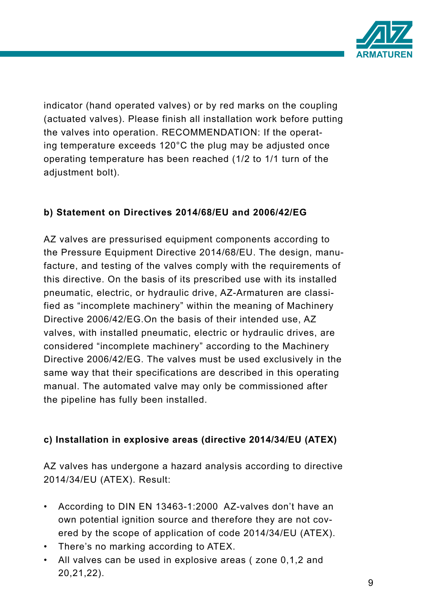

indicator (hand operated valves) or by red marks on the coupling (actuated valves). Please finish all installation work before putting the valves into operation. RECOMMENDATION: If the operating temperature exceeds 120°C the plug may be adjusted once operating temperature has been reached (1/2 to 1/1 turn of the adjustment bolt).

#### **b) Statement on Directives 2014/68/EU and 2006/42/EG**

AZ valves are pressurised equipment components according to the Pressure Equipment Directive 2014/68/EU. The design, manufacture, and testing of the valves comply with the requirements of this directive. On the basis of its prescribed use with its installed pneumatic, electric, or hydraulic drive, AZ-Armaturen are classified as "incomplete machinery" within the meaning of Machinery Directive 2006/42/EG.On the basis of their intended use, AZ valves, with installed pneumatic, electric or hydraulic drives, are considered "incomplete machinery" according to the Machinery Directive 2006/42/EG. The valves must be used exclusively in the same way that their specifications are described in this operating manual. The automated valve may only be commissioned after the pipeline has fully been installed.

#### **c) Installation in explosive areas (directive 2014/34/EU (ATEX)**

AZ valves has undergone a hazard analysis according to directive 2014/34/EU (ATEX). Result:

- According to DIN EN 13463-1:2000 AZ-valves don't have an own potential ignition source and therefore they are not covered by the scope of application of code 2014/34/EU (ATEX).
- There's no marking according to ATEX.
- All valves can be used in explosive areas ( zone 0,1,2 and 20,21,22).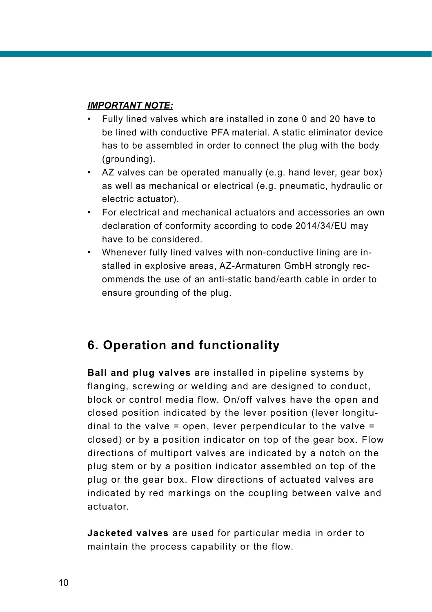#### *IMPORTANT NOTE:*

- Fully lined valves which are installed in zone 0 and 20 have to be lined with conductive PFA material. A static eliminator device has to be assembled in order to connect the plug with the body (grounding).
- AZ valves can be operated manually (e.g. hand lever, gear box) as well as mechanical or electrical (e.g. pneumatic, hydraulic or electric actuator).
- For electrical and mechanical actuators and accessories an own declaration of conformity according to code 2014/34/EU may have to be considered.
- Whenever fully lined valves with non-conductive lining are installed in explosive areas, AZ-Armaturen GmbH strongly recommends the use of an anti-static band/earth cable in order to ensure grounding of the plug.

### **6. Operation and functionality**

**Ball and plug valves** are installed in pipeline systems by flanging, screwing or welding and are designed to conduct, block or control media flow. On/off valves have the open and closed position indicated by the lever position (lever longitudinal to the valve  $=$  open, lever perpendicular to the valve  $=$ closed) or by a position indicator on top of the gear box. Flow directions of multiport valves are indicated by a notch on the plug stem or by a position indicator assembled on top of the plug or the gear box. Flow directions of actuated valves are indicated by red markings on the coupling between valve and actuator.

**Jacketed valves** are used for particular media in order to maintain the process capability or the flow.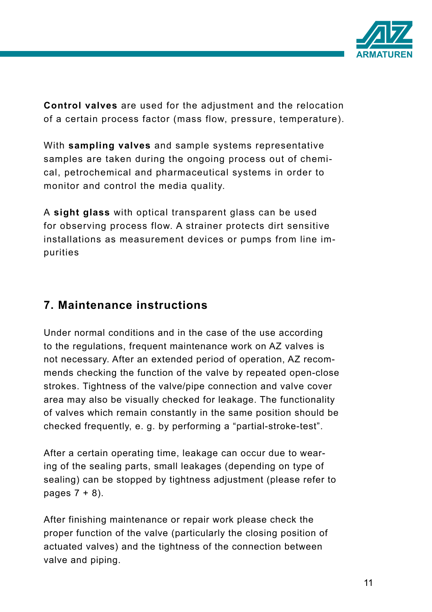

**Control valves** are used for the adjustment and the relocation of a certain process factor (mass flow, pressure, temperature).

With **sampling valves** and sample systems representative samples are taken during the ongoing process out of chemical, petrochemical and pharmaceutical systems in order to monitor and control the media quality.

A **sight glass** with optical transparent glass can be used for observing process flow. A strainer protects dirt sensitive installations as measurement devices or pumps from line impurities

### **7. Maintenance instructions**

Under normal conditions and in the case of the use according to the regulations, frequent maintenance work on AZ valves is not necessary. After an extended period of operation, AZ recommends checking the function of the valve by repeated open-close strokes. Tightness of the valve/pipe connection and valve cover area may also be visually checked for leakage. The functionality of valves which remain constantly in the same position should be checked frequently, e. g. by performing a "partial-stroke-test".

After a certain operating time, leakage can occur due to wearing of the sealing parts, small leakages (depending on type of sealing) can be stopped by tightness adjustment (please refer to pages  $7 + 8$ ).

After finishing maintenance or repair work please check the proper function of the valve (particularly the closing position of actuated valves) and the tightness of the connection between valve and piping.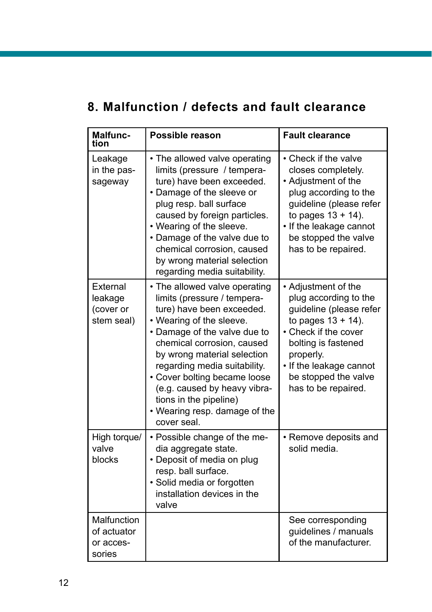# **8. Malfunction / defects and fault clearance**

| Malfunc-<br>tion                                  | Possible reason                                                                                                                                                                                                                                                                                                                                                                              | <b>Fault clearance</b>                                                                                                                                                                                                                 |
|---------------------------------------------------|----------------------------------------------------------------------------------------------------------------------------------------------------------------------------------------------------------------------------------------------------------------------------------------------------------------------------------------------------------------------------------------------|----------------------------------------------------------------------------------------------------------------------------------------------------------------------------------------------------------------------------------------|
| Leakage<br>in the pas-<br>sageway                 | • The allowed valve operating<br>limits (pressure / tempera-<br>ture) have been exceeded.<br>• Damage of the sleeve or<br>plug resp. ball surface<br>caused by foreign particles.<br>• Wearing of the sleeve.<br>• Damage of the valve due to<br>chemical corrosion, caused<br>by wrong material selection<br>regarding media suitability.                                                   | • Check if the valve<br>closes completely.<br>• Adjustment of the<br>plug according to the<br>guideline (please refer<br>to pages $13 + 14$ ).<br>• If the leakage cannot<br>be stopped the valve<br>has to be repaired.               |
| External<br>leakage<br>(cover or<br>stem seal)    | • The allowed valve operating<br>limits (pressure / tempera-<br>ture) have been exceeded.<br>• Wearing of the sleeve.<br>• Damage of the valve due to<br>chemical corrosion, caused<br>by wrong material selection<br>regarding media suitability.<br>• Cover bolting became loose<br>(e.g. caused by heavy vibra-<br>tions in the pipeline)<br>• Wearing resp. damage of the<br>cover seal. | • Adjustment of the<br>plug according to the<br>guideline (please refer<br>to pages $13 + 14$ ).<br>• Check if the cover<br>bolting is fastened<br>properly.<br>• If the leakage cannot<br>be stopped the valve<br>has to be repaired. |
| High torque/<br>valve<br>blocks                   | • Possible change of the me-<br>dia aggregate state.<br>• Deposit of media on plug<br>resp. ball surface.<br>· Solid media or forgotten<br>installation devices in the<br>valve                                                                                                                                                                                                              | • Remove deposits and<br>solid media.                                                                                                                                                                                                  |
| Malfunction<br>of actuator<br>or acces-<br>sories |                                                                                                                                                                                                                                                                                                                                                                                              | See corresponding<br>guidelines / manuals<br>of the manufacturer.                                                                                                                                                                      |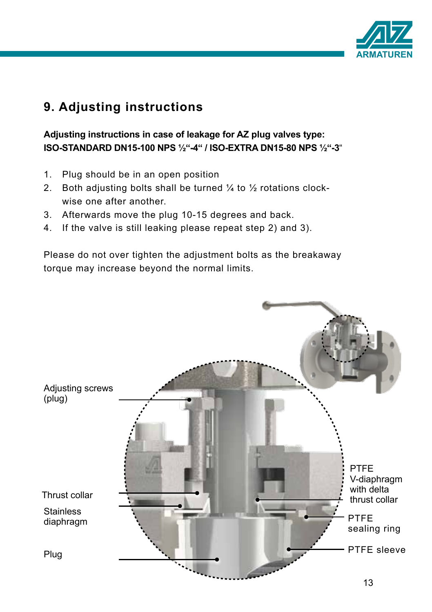

# **9. Adjusting instructions**

#### **Adjusting instructions in case of leakage for AZ plug valves type: ISO-STANDARD DN15-100 NPS ½"-4" / ISO-EXTRA DN15-80 NPS ½"-3**"

- 1. Plug should be in an open position
- 2. Both adjusting bolts shall be turned  $\frac{1}{4}$  to  $\frac{1}{2}$  rotations clockwise one after another.
- 3. Afterwards move the plug 10-15 degrees and back.
- 4. If the valve is still leaking please repeat step 2) and 3).

Please do not over tighten the adjustment bolts as the breakaway torque may increase beyond the normal limits.

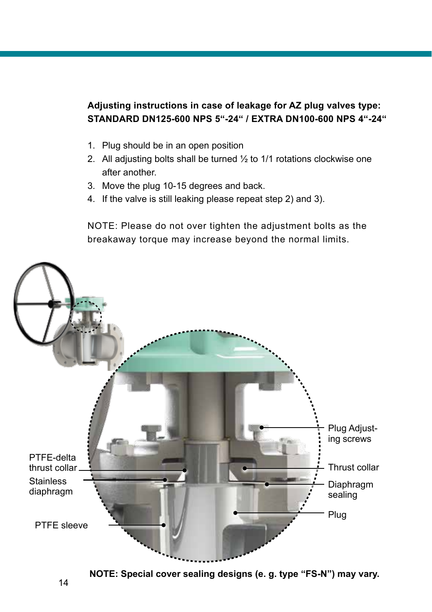#### **Adjusting instructions in case of leakage for AZ plug valves type: STANDARD DN125-600 NPS 5"-24" / EXTRA DN100-600 NPS 4"-24"**

- 1. Plug should be in an open position
- 2. All adjusting bolts shall be turned  $\frac{1}{2}$  to 1/1 rotations clockwise one after another.
- 3. Move the plug 10-15 degrees and back.
- 4. If the valve is still leaking please repeat step 2) and 3).

NOTE: Please do not over tighten the adjustment bolts as the breakaway torque may increase beyond the normal limits.



14

**NOTE: Special cover sealing designs (e. g. type "FS-N") may vary.**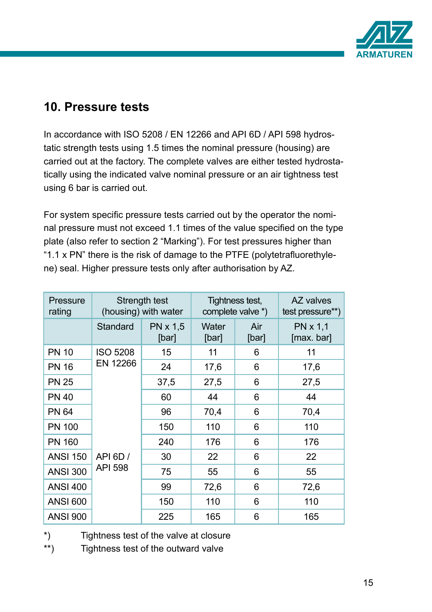

### **10. Pressure tests**

In accordance with ISO 5208 / EN 12266 and API 6D / API 598 hydrostatic strength tests using 1.5 times the nominal pressure (housing) are carried out at the factory. The complete valves are either tested hydrostatically using the indicated valve nominal pressure or an air tightness test using 6 bar is carried out.

For system specific pressure tests carried out by the operator the nominal pressure must not exceed 1.1 times of the value specified on the type plate (also refer to section 2 "Marking"). For test pressures higher than "1.1 x PN" there is the risk of damage to the PTFE (polytetrafluorethylene) seal. Higher pressure tests only after authorisation by AZ.

| Pressure<br>rating | Strength test<br>(housing) with water                     |                   | Tightness test,<br>complete valve *) |              | AZ valves<br>test pressure**) |
|--------------------|-----------------------------------------------------------|-------------------|--------------------------------------|--------------|-------------------------------|
|                    | Standard                                                  | PN x 1.5<br>[bar] | Water<br>[bar]                       | Air<br>[bar] | PN x 1,1<br>[max. bar]        |
| <b>PN 10</b>       | <b>ISO 5208</b><br>EN 12266<br>API 6D /<br><b>API 598</b> | 15                | 11                                   | 6            | 11                            |
| <b>PN 16</b>       |                                                           | 24                | 17,6                                 | 6            | 17,6                          |
| <b>PN 25</b>       |                                                           | 37,5              | 27,5                                 | 6            | 27,5                          |
| <b>PN 40</b>       |                                                           | 60                | 44                                   | 6            | 44                            |
| <b>PN 64</b>       |                                                           | 96                | 70,4                                 | 6            | 70,4                          |
| <b>PN 100</b>      |                                                           | 150               | 110                                  | 6            | 110                           |
| <b>PN 160</b>      |                                                           | 240               | 176                                  | 6            | 176                           |
| <b>ANSI 150</b>    |                                                           | 30                | 22                                   | 6            | 22                            |
| <b>ANSI 300</b>    |                                                           | 75                | 55                                   | 6            | 55                            |
| <b>ANSI 400</b>    |                                                           | 99                | 72,6                                 | 6            | 72,6                          |
| <b>ANSI 600</b>    |                                                           | 150               | 110                                  | 6            | 110                           |
| <b>ANSI 900</b>    |                                                           | 225               | 165                                  | 6            | 165                           |

\*) Tightness test of the valve at closure

\*\*) Tightness test of the outward valve